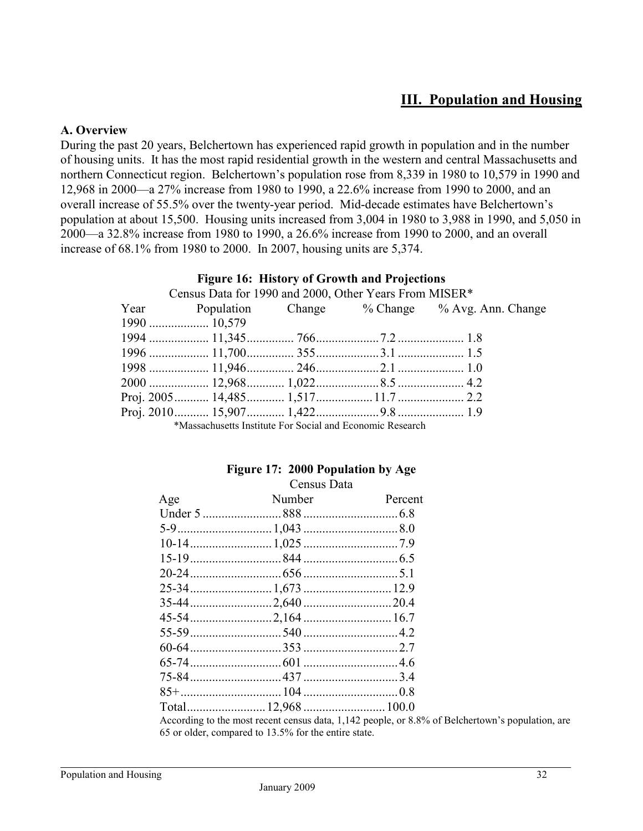# **III. Population and Housing**

#### **A. Overview**

During the past 20 years, Belchertown has experienced rapid growth in population and in the number of housing units. It has the most rapid residential growth in the western and central Massachusetts and northern Connecticut region. Belchertown's population rose from 8,339 in 1980 to 10,579 in 1990 and 12,968 in 2000—a 27% increase from 1980 to 1990, a 22.6% increase from 1990 to 2000, and an overall increase of 55.5% over the twenty-year period. Mid-decade estimates have Belchertown's population at about 15,500. Housing units increased from 3,004 in 1980 to 3,988 in 1990, and 5,050 in 2000—a 32.8% increase from 1980 to 1990, a 26.6% increase from 1990 to 2000, and an overall increase of 68.1% from 1980 to 2000. In 2007, housing units are 5,374.

|                                                                                                                                                                                                                                    | <b>Figure 10. HIStory of Growth and Frojections</b> |                                                    |  |
|------------------------------------------------------------------------------------------------------------------------------------------------------------------------------------------------------------------------------------|-----------------------------------------------------|----------------------------------------------------|--|
| Census Data for 1990 and 2000, Other Years From MISER*                                                                                                                                                                             |                                                     |                                                    |  |
|                                                                                                                                                                                                                                    |                                                     | Year Population Change % Change % Avg. Ann. Change |  |
|                                                                                                                                                                                                                                    |                                                     |                                                    |  |
|                                                                                                                                                                                                                                    |                                                     |                                                    |  |
|                                                                                                                                                                                                                                    |                                                     |                                                    |  |
|                                                                                                                                                                                                                                    |                                                     |                                                    |  |
|                                                                                                                                                                                                                                    |                                                     |                                                    |  |
|                                                                                                                                                                                                                                    |                                                     |                                                    |  |
|                                                                                                                                                                                                                                    |                                                     |                                                    |  |
| $\mathcal{M}$ , and the state of the state of the state of the state of the state of the state of the state of the state of the state of the state of the state of the state of the state of the state of the state of the state o |                                                     |                                                    |  |

# **Figure 16: History of Growth and Projections**

\*Massachusetts Institute For Social and Economic Research

# **Figure 17: 2000 Population by Age**

| Census Data |  |
|-------------|--|
|-------------|--|

| Age | Number                                                          | Percent |
|-----|-----------------------------------------------------------------|---------|
|     |                                                                 |         |
|     |                                                                 |         |
|     |                                                                 |         |
|     |                                                                 |         |
|     |                                                                 |         |
|     |                                                                 |         |
|     |                                                                 |         |
|     |                                                                 |         |
|     |                                                                 |         |
|     |                                                                 |         |
|     |                                                                 |         |
|     |                                                                 |         |
|     |                                                                 |         |
|     |                                                                 |         |
|     | According to the most recent census data 1142 neonle or $8.8\%$ |         |

According to the most recent census data, 1,142 people, or 8.8% of Belchertown's population, are 65 or older, compared to 13.5% for the entire state.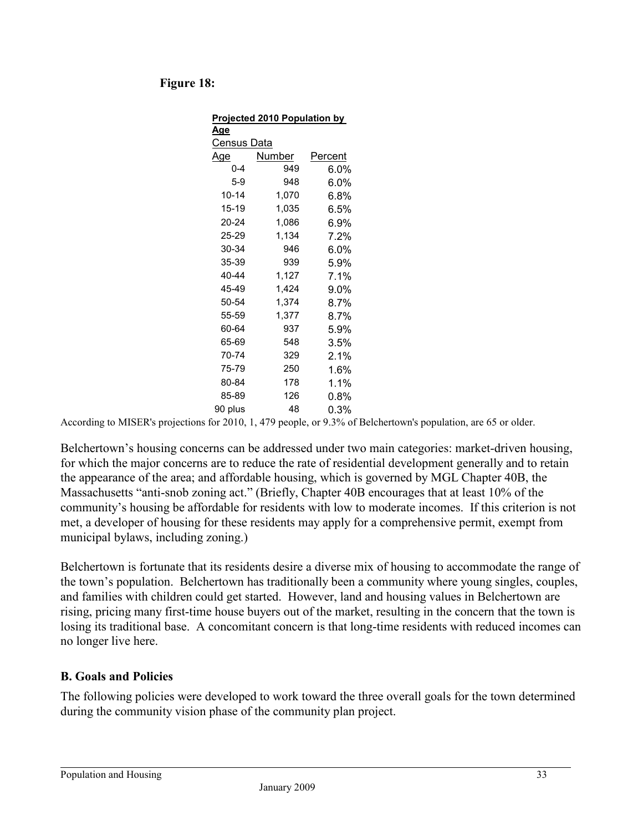### **Figure 18:**

| Projected 2010 Population by |        |         |  |  |
|------------------------------|--------|---------|--|--|
| A <u>qe</u>                  |        |         |  |  |
| Census Data                  |        |         |  |  |
| Age                          | Number | Percent |  |  |
| $0 - 4$                      | 949    | 6.0%    |  |  |
| 5-9                          | 948    | 6.0%    |  |  |
| $10 - 14$                    | 1,070  | $6.8\%$ |  |  |
| $15 - 19$                    | 1,035  | 6.5%    |  |  |
| 20-24                        | 1,086  | 6.9%    |  |  |
| 25-29                        | 1,134  | 7.2%    |  |  |
| 30-34                        | 946    | $6.0\%$ |  |  |
| 35-39                        | 939    | 5.9%    |  |  |
| 40-44                        | 1,127  | 7.1%    |  |  |
| 45-49                        | 1,424  | 9.0%    |  |  |
| 50-54                        | 1,374  | 8.7%    |  |  |
| 55-59                        | 1,377  | 8.7%    |  |  |
| 60-64                        | 937    | 5.9%    |  |  |
| 65-69                        | 548    | 3.5%    |  |  |
| 70-74                        | 329    | 2.1%    |  |  |
| 75-79                        | 250    | 1.6%    |  |  |
| 80-84                        | 178    | 1.1%    |  |  |
| 85-89                        | 126    | $0.8\%$ |  |  |
| 90 plus                      | 48     | 0.3%    |  |  |

According to MISER's projections for 2010, 1, 479 people, or 9.3% of Belchertown's population, are 65 or older.

Belchertown's housing concerns can be addressed under two main categories: market-driven housing, for which the major concerns are to reduce the rate of residential development generally and to retain the appearance of the area; and affordable housing, which is governed by MGL Chapter 40B, the Massachusetts "anti-snob zoning act." (Briefly, Chapter 40B encourages that at least 10% of the community's housing be affordable for residents with low to moderate incomes. If this criterion is not met, a developer of housing for these residents may apply for a comprehensive permit, exempt from municipal bylaws, including zoning.)

Belchertown is fortunate that its residents desire a diverse mix of housing to accommodate the range of the town's population. Belchertown has traditionally been a community where young singles, couples, and families with children could get started. However, land and housing values in Belchertown are rising, pricing many first-time house buyers out of the market, resulting in the concern that the town is losing its traditional base. A concomitant concern is that long-time residents with reduced incomes can no longer live here.

### **B. Goals and Policies**

The following policies were developed to work toward the three overall goals for the town determined during the community vision phase of the community plan project.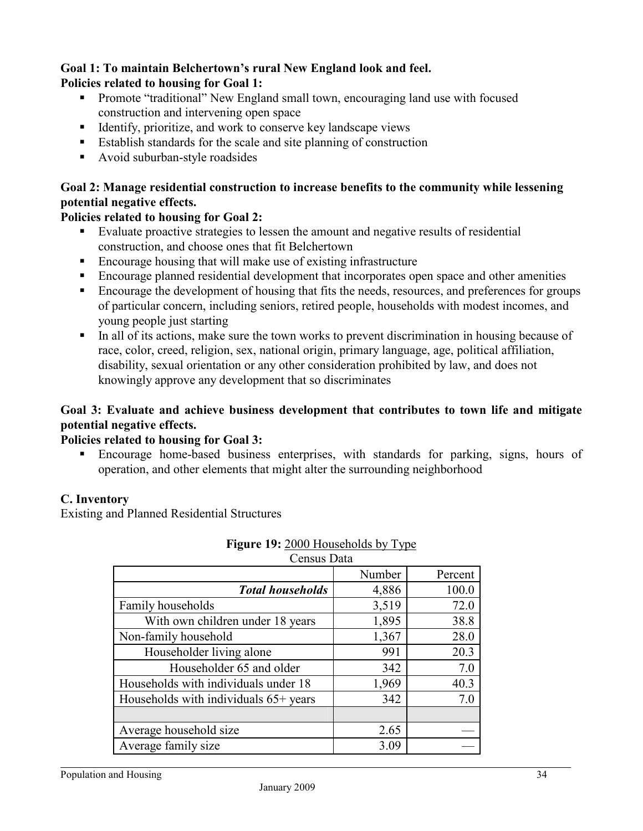#### **Goal 1: To maintain Belchertown's rural New England look and feel. Policies related to housing for Goal 1:**

- **Promote "traditional"** New England small town, encouraging land use with focused construction and intervening open space
- Identify, prioritize, and work to conserve key landscape views
- Establish standards for the scale and site planning of construction
- Avoid suburban-style roadsides

### **Goal 2: Manage residential construction to increase benefits to the community while lessening potential negative effects.**

### **Policies related to housing for Goal 2:**

- Evaluate proactive strategies to lessen the amount and negative results of residential construction, and choose ones that fit Belchertown
- Encourage housing that will make use of existing infrastructure
- Encourage planned residential development that incorporates open space and other amenities
- **Encourage the development of housing that fits the needs, resources, and preferences for groups** of particular concern, including seniors, retired people, households with modest incomes, and young people just starting
- In all of its actions, make sure the town works to prevent discrimination in housing because of race, color, creed, religion, sex, national origin, primary language, age, political affiliation, disability, sexual orientation or any other consideration prohibited by law, and does not knowingly approve any development that so discriminates

## **Goal 3: Evaluate and achieve business development that contributes to town life and mitigate potential negative effects.**

### **Policies related to housing for Goal 3:**

 Encourage home-based business enterprises, with standards for parking, signs, hours of operation, and other elements that might alter the surrounding neighborhood

## **C. Inventory**

Existing and Planned Residential Structures

| Number | Percent     |
|--------|-------------|
| 4,886  | 100.0       |
| 3,519  | 72.0        |
| 1,895  | 38.8        |
| 1,367  | 28.0        |
| 991    | 20.3        |
| 342    | 7.0         |
| 1,969  | 40.3        |
| 342    | 7.0         |
|        |             |
| 2.65   |             |
| 3.09   |             |
|        | Census Data |

### **Figure 19:** 2000 Households by Type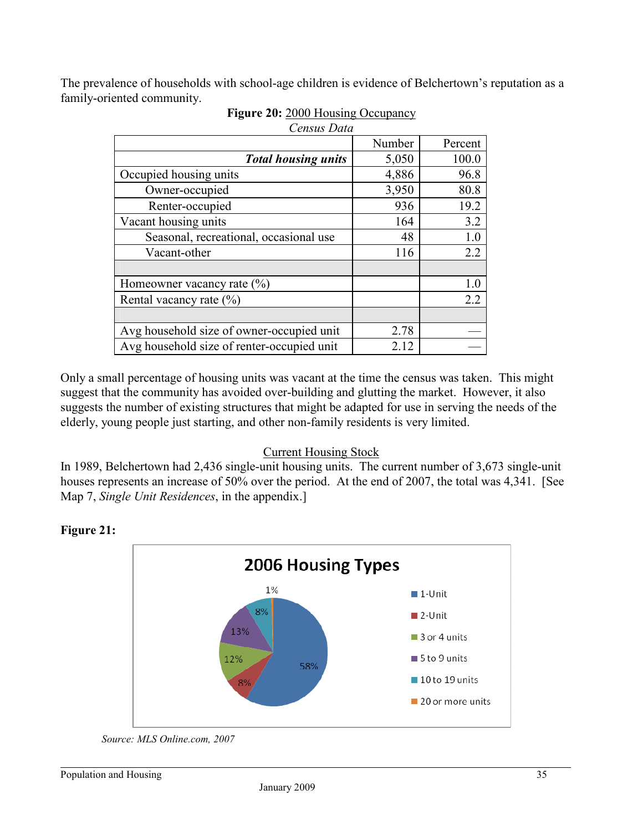The prevalence of households with school-age children is evidence of Belchertown's reputation as a family-oriented community.

| Census Data                                |        |         |
|--------------------------------------------|--------|---------|
|                                            | Number | Percent |
| <b>Total housing units</b>                 | 5,050  | 100.0   |
| Occupied housing units                     | 4,886  | 96.8    |
| Owner-occupied                             | 3,950  | 80.8    |
| Renter-occupied                            | 936    | 19.2    |
| Vacant housing units                       | 164    | 3.2     |
| Seasonal, recreational, occasional use     | 48     | 1.0     |
| Vacant-other                               | 116    | 2.2     |
| Homeowner vacancy rate $(\% )$             |        | 1.0     |
| Rental vacancy rate $(\% )$                |        | 2.2     |
|                                            |        |         |
| Avg household size of owner-occupied unit  | 2.78   |         |
| Avg household size of renter-occupied unit | 2.12   |         |

| Figure 20: 2000 Housing Occupancy |  |  |
|-----------------------------------|--|--|
|                                   |  |  |

Only a small percentage of housing units was vacant at the time the census was taken. This might suggest that the community has avoided over-building and glutting the market. However, it also suggests the number of existing structures that might be adapted for use in serving the needs of the elderly, young people just starting, and other non-family residents is very limited.

### Current Housing Stock

In 1989, Belchertown had 2,436 single-unit housing units. The current number of 3,673 single-unit houses represents an increase of 50% over the period. At the end of 2007, the total was 4,341. [See Map 7, *Single Unit Residences*, in the appendix.]



### **Figure 21:**

 *Source: MLS Online.com, 2007*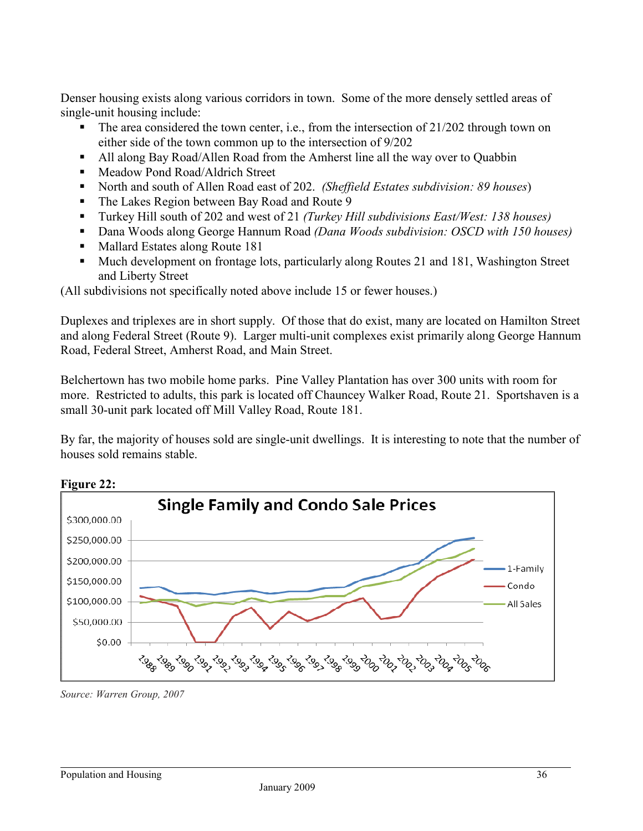Denser housing exists along various corridors in town. Some of the more densely settled areas of single-unit housing include:

- The area considered the town center, i.e., from the intersection of  $21/202$  through town on either side of the town common up to the intersection of 9/202
- All along Bay Road/Allen Road from the Amherst line all the way over to Quabbin
- Meadow Pond Road/Aldrich Street
- North and south of Allen Road east of 202. *(Sheffield Estates subdivision: 89 houses*)
- The Lakes Region between Bay Road and Route 9
- Turkey Hill south of 202 and west of 21 *(Turkey Hill subdivisions East/West: 138 houses)*
- Dana Woods along George Hannum Road *(Dana Woods subdivision: OSCD with 150 houses)*
- Mallard Estates along Route 181
- Much development on frontage lots, particularly along Routes 21 and 181, Washington Street and Liberty Street

(All subdivisions not specifically noted above include 15 or fewer houses.)

Duplexes and triplexes are in short supply. Of those that do exist, many are located on Hamilton Street and along Federal Street (Route 9). Larger multi-unit complexes exist primarily along George Hannum Road, Federal Street, Amherst Road, and Main Street.

Belchertown has two mobile home parks. Pine Valley Plantation has over 300 units with room for more. Restricted to adults, this park is located off Chauncey Walker Road, Route 21. Sportshaven is a small 30-unit park located off Mill Valley Road, Route 181.

By far, the majority of houses sold are single-unit dwellings. It is interesting to note that the number of houses sold remains stable.



*Source: Warren Group, 2007*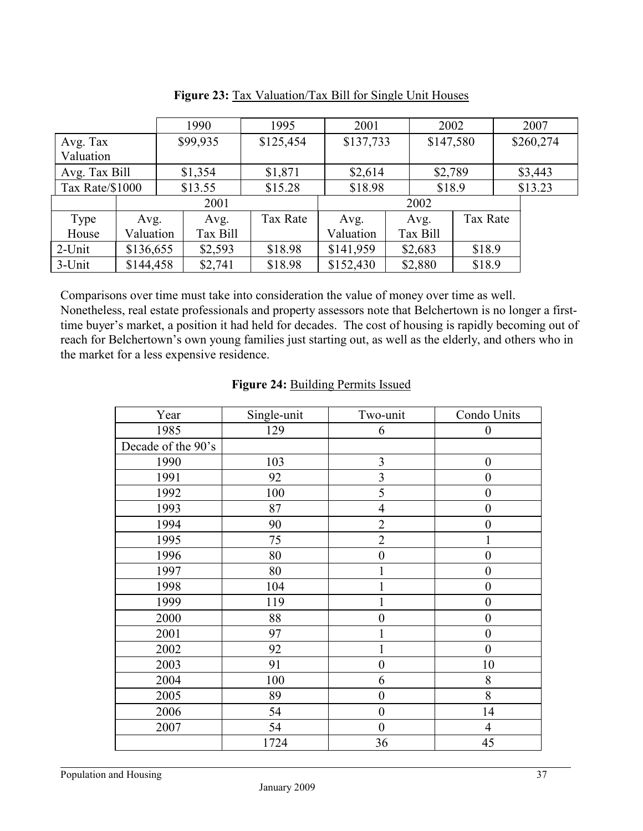|                 |           |      | 1990     | 1995      | 2001      |  | 2002      |          |  | 2007      |
|-----------------|-----------|------|----------|-----------|-----------|--|-----------|----------|--|-----------|
| Avg. Tax        |           |      | \$99,935 | \$125,454 | \$137,733 |  | \$147,580 |          |  | \$260,274 |
| Valuation       |           |      |          |           |           |  |           |          |  |           |
| Avg. Tax Bill   |           |      | \$1,354  | \$1,871   | \$2,614   |  | \$2,789   |          |  | \$3,443   |
| Tax Rate/\$1000 |           |      | \$13.55  | \$15.28   | \$18.98   |  | \$18.9    |          |  | \$13.23   |
|                 |           | 2001 |          |           |           |  | 2002      |          |  |           |
| Type            | Avg.      |      | Avg.     | Tax Rate  | Avg.      |  | Avg.      | Tax Rate |  |           |
| House           | Valuation |      | Tax Bill |           | Valuation |  | Tax Bill  |          |  |           |
| 2-Unit          | \$136,655 |      | \$2,593  | \$18.98   | \$141,959 |  | \$2,683   | \$18.9   |  |           |
| 3-Unit          | \$144,458 |      | \$2,741  | \$18.98   | \$152,430 |  | \$2,880   | \$18.9   |  |           |

Figure 23: Tax Valuation/Tax Bill for Single Unit Houses

Comparisons over time must take into consideration the value of money over time as well. Nonetheless, real estate professionals and property assessors note that Belchertown is no longer a firsttime buyer's market, a position it had held for decades. The cost of housing is rapidly becoming out of reach for Belchertown's own young families just starting out, as well as the elderly, and others who in the market for a less expensive residence.

| Year               | Single-unit | Two-unit         | Condo Units      |
|--------------------|-------------|------------------|------------------|
| 1985               | 129         | 6                | $\boldsymbol{0}$ |
| Decade of the 90's |             |                  |                  |
| 1990               | 103         | $\mathfrak{Z}$   | $\boldsymbol{0}$ |
| 1991               | 92          | $\mathfrak{Z}$   | $\boldsymbol{0}$ |
| 1992               | 100         | 5                | $\boldsymbol{0}$ |
| 1993               | 87          | $\overline{4}$   | $\boldsymbol{0}$ |
| 1994               | 90          | $\overline{2}$   | $\boldsymbol{0}$ |
| 1995               | 75          | $\overline{2}$   | $\mathbf{1}$     |
| 1996               | 80          | $\boldsymbol{0}$ | $\boldsymbol{0}$ |
| 1997               | 80          |                  | $\boldsymbol{0}$ |
| 1998               | 104         | 1                | $\boldsymbol{0}$ |
| 1999               | 119         |                  | $\boldsymbol{0}$ |
| 2000               | 88          | $\boldsymbol{0}$ | $\boldsymbol{0}$ |
| 2001               | 97          | 1                | $\boldsymbol{0}$ |
| 2002               | 92          | 1                | $\boldsymbol{0}$ |
| 2003               | 91          | $\boldsymbol{0}$ | 10               |
| 2004               | 100         | 6                | $8\,$            |
| 2005               | 89          | $\mathbf{0}$     | 8                |
| 2006               | 54          | $\boldsymbol{0}$ | 14               |
| 2007               | 54          | $\boldsymbol{0}$ | $\overline{4}$   |
|                    | 1724        | 36               | 45               |

#### Figure 24: Building Permits Issued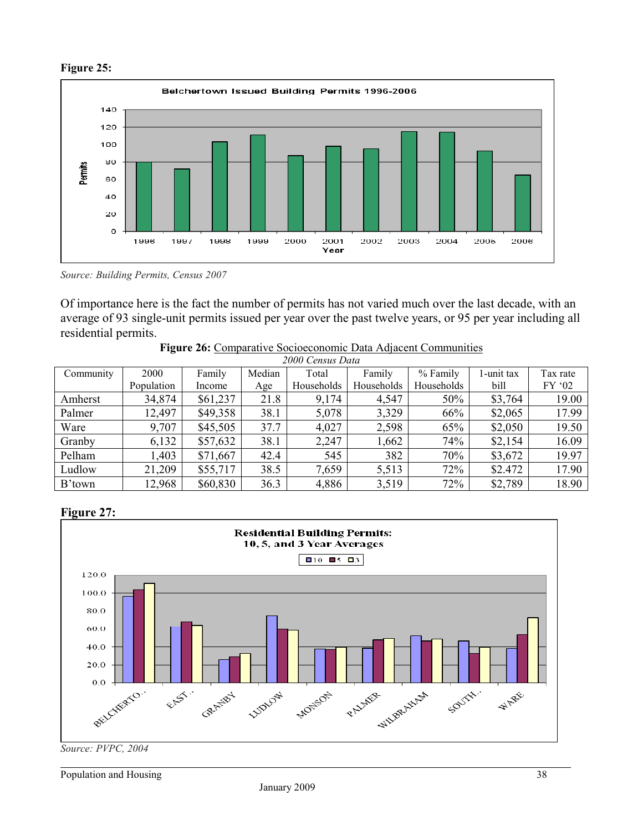

**Figure 25:**

*Source: Building Permits, Census 2007* 

Of importance here is the fact the number of permits has not varied much over the last decade, with an average of 93 single-unit permits issued per year over the past twelve years, or 95 per year including all residential permits.

| 2000 Census Data |            |          |        |            |            |            |            |          |
|------------------|------------|----------|--------|------------|------------|------------|------------|----------|
| Community        | 2000       | Family   | Median | Total      | Family     | % Family   | 1-unit tax | Tax rate |
|                  | Population | Income   | Age    | Households | Households | Households | bill       | FY '02   |
| Amherst          | 34,874     | \$61,237 | 21.8   | 9,174      | 4,547      | 50%        | \$3,764    | 19.00    |
| Palmer           | 12,497     | \$49,358 | 38.1   | 5,078      | 3,329      | 66%        | \$2,065    | 17.99    |
| Ware             | 9,707      | \$45,505 | 37.7   | 4,027      | 2,598      | 65%        | \$2,050    | 19.50    |
| Granby           | 6,132      | \$57,632 | 38.1   | 2,247      | 1,662      | 74%        | \$2,154    | 16.09    |
| Pelham           | 1,403      | \$71,667 | 42.4   | 545        | 382        | 70%        | \$3,672    | 19.97    |
| Ludlow           | 21,209     | \$55,717 | 38.5   | 7,659      | 5,513      | 72%        | \$2.472    | 17.90    |
| B'town           | 12,968     | \$60,830 | 36.3   | 4,886      | 3,519      | 72%        | \$2,789    | 18.90    |

**Figure 26:** Comparative Socioeconomic Data Adjacent Communities

### **Figure 27:**



*Source: PVPC, 2004*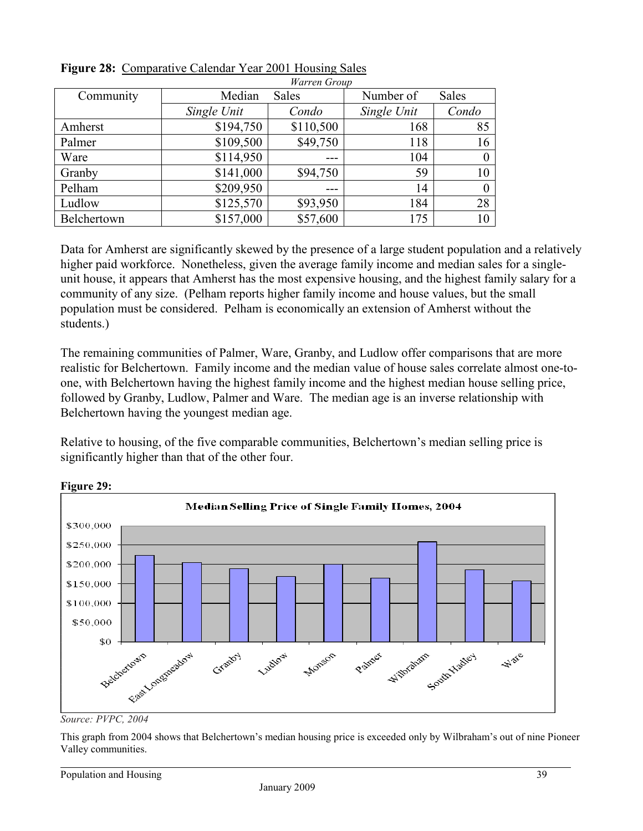|             |             | <i>warren</i> Group |             |              |
|-------------|-------------|---------------------|-------------|--------------|
| Community   | Median      | Sales               | Number of   | <b>Sales</b> |
|             | Single Unit | Condo               | Single Unit | Condo        |
| Amherst     | \$194,750   | \$110,500           | 168         | 85           |
| Palmer      | \$109,500   | \$49,750            | 118         | 16           |
| Ware        | \$114,950   |                     | 104         | $\theta$     |
| Granby      | \$141,000   | \$94,750            | 59          | 10           |
| Pelham      | \$209,950   |                     | 14          | $\theta$     |
| Ludlow      | \$125,570   | \$93,950            | 184         | 28           |
| Belchertown | \$157,000   | \$57,600            | 175         | 10           |

| Figure 28: Comparative Calendar Year 2001 Housing Sales |  |              |  |
|---------------------------------------------------------|--|--------------|--|
|                                                         |  | $\mathbf{u}$ |  |

Data for Amherst are significantly skewed by the presence of a large student population and a relatively higher paid workforce. Nonetheless, given the average family income and median sales for a singleunit house, it appears that Amherst has the most expensive housing, and the highest family salary for a community of any size. (Pelham reports higher family income and house values, but the small population must be considered. Pelham is economically an extension of Amherst without the students.)

The remaining communities of Palmer, Ware, Granby, and Ludlow offer comparisons that are more realistic for Belchertown. Family income and the median value of house sales correlate almost one-toone, with Belchertown having the highest family income and the highest median house selling price, followed by Granby, Ludlow, Palmer and Ware. The median age is an inverse relationship with Belchertown having the youngest median age.

Relative to housing, of the five comparable communities, Belchertown's median selling price is significantly higher than that of the other four.





*Source: PVPC, 2004* 

This graph from 2004 shows that Belchertown's median housing price is exceeded only by Wilbraham's out of nine Pioneer Valley communities.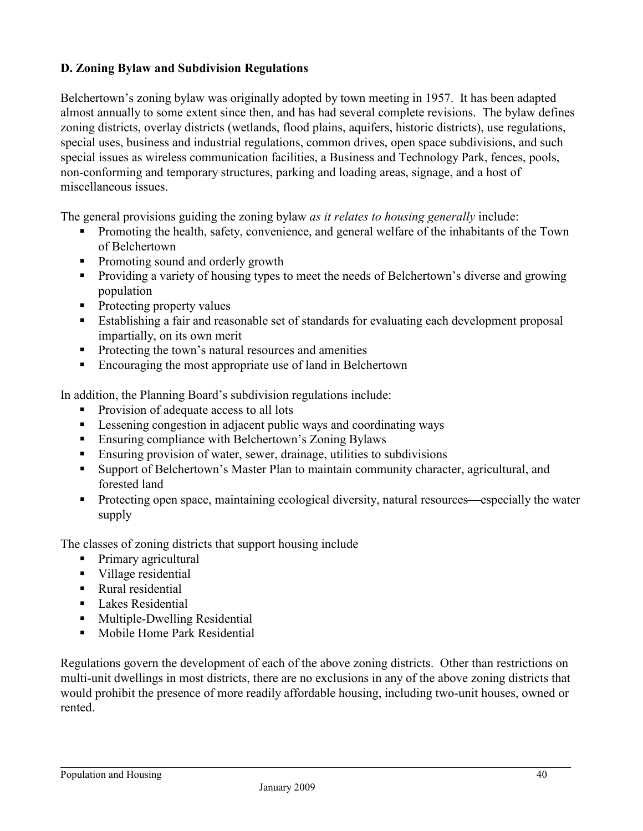### **D. Zoning Bylaw and Subdivision Regulations**

Belchertown's zoning bylaw was originally adopted by town meeting in 1957. It has been adapted almost annually to some extent since then, and has had several complete revisions. The bylaw defines zoning districts, overlay districts (wetlands, flood plains, aquifers, historic districts), use regulations, special uses, business and industrial regulations, common drives, open space subdivisions, and such special issues as wireless communication facilities, a Business and Technology Park, fences, pools, non-conforming and temporary structures, parking and loading areas, signage, and a host of miscellaneous issues.

The general provisions guiding the zoning bylaw *as it relates to housing generally* include:

- Promoting the health, safety, convenience, and general welfare of the inhabitants of the Town of Belchertown
- Promoting sound and orderly growth
- **Providing a variety of housing types to meet the needs of Belchertown's diverse and growing** population
- Protecting property values
- Establishing a fair and reasonable set of standards for evaluating each development proposal impartially, on its own merit
- **Protecting the town's natural resources and amenities**
- Encouraging the most appropriate use of land in Belchertown

In addition, the Planning Board's subdivision regulations include:

- Provision of adequate access to all lots
- Lessening congestion in adjacent public ways and coordinating ways
- Ensuring compliance with Belchertown's Zoning Bylaws
- Ensuring provision of water, sewer, drainage, utilities to subdivisions
- Support of Belchertown's Master Plan to maintain community character, agricultural, and forested land
- Protecting open space, maintaining ecological diversity, natural resources—especially the water supply

The classes of zoning districts that support housing include

- Primary agricultural
- Village residential
- Rural residential
- **Lakes Residential**
- **Multiple-Dwelling Residential**
- **Mobile Home Park Residential**

Regulations govern the development of each of the above zoning districts. Other than restrictions on multi-unit dwellings in most districts, there are no exclusions in any of the above zoning districts that would prohibit the presence of more readily affordable housing, including two-unit houses, owned or rented.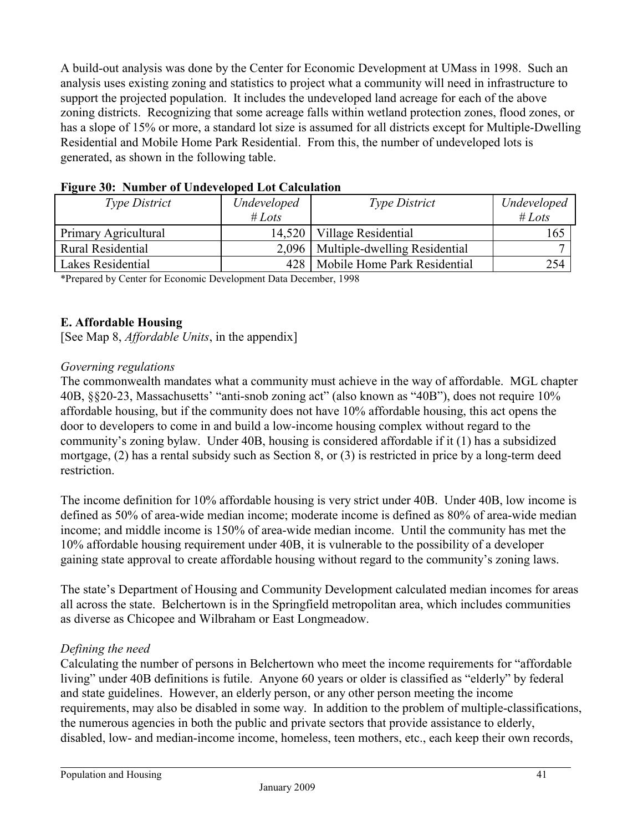A build-out analysis was done by the Center for Economic Development at UMass in 1998. Such an analysis uses existing zoning and statistics to project what a community will need in infrastructure to support the projected population. It includes the undeveloped land acreage for each of the above zoning districts. Recognizing that some acreage falls within wetland protection zones, flood zones, or has a slope of 15% or more, a standard lot size is assumed for all districts except for Multiple-Dwelling Residential and Mobile Home Park Residential. From this, the number of undeveloped lots is generated, as shown in the following table.

| $\cdot$<br><b>Type District</b> | Undeveloped | <i>Type District</i>                  | Undeveloped |
|---------------------------------|-------------|---------------------------------------|-------------|
|                                 | # Lots      |                                       | # Lots      |
| Primary Agricultural            |             | 14,520   Village Residential          | 165         |
| Rural Residential               |             | 2,096   Multiple-dwelling Residential |             |
| Lakes Residential               | 428         | Mobile Home Park Residential          | 254         |

**Figure 30: Number of Undeveloped Lot Calculation**

\*Prepared by Center for Economic Development Data December, 1998

### **E. Affordable Housing**

[See Map 8, *Affordable Units*, in the appendix]

#### *Governing regulations*

The commonwealth mandates what a community must achieve in the way of affordable. MGL chapter 40B, §§20-23, Massachusetts' "anti-snob zoning act" (also known as "40B"), does not require 10% affordable housing, but if the community does not have 10% affordable housing, this act opens the door to developers to come in and build a low-income housing complex without regard to the community's zoning bylaw. Under 40B, housing is considered affordable if it (1) has a subsidized mortgage, (2) has a rental subsidy such as Section 8, or (3) is restricted in price by a long-term deed restriction.

The income definition for 10% affordable housing is very strict under 40B. Under 40B, low income is defined as 50% of area-wide median income; moderate income is defined as 80% of area-wide median income; and middle income is 150% of area-wide median income. Until the community has met the 10% affordable housing requirement under 40B, it is vulnerable to the possibility of a developer gaining state approval to create affordable housing without regard to the community's zoning laws.

The state's Department of Housing and Community Development calculated median incomes for areas all across the state. Belchertown is in the Springfield metropolitan area, which includes communities as diverse as Chicopee and Wilbraham or East Longmeadow.

### *Defining the need*

Calculating the number of persons in Belchertown who meet the income requirements for "affordable living" under 40B definitions is futile. Anyone 60 years or older is classified as "elderly" by federal and state guidelines. However, an elderly person, or any other person meeting the income requirements, may also be disabled in some way. In addition to the problem of multiple-classifications, the numerous agencies in both the public and private sectors that provide assistance to elderly, disabled, low- and median-income income, homeless, teen mothers, etc., each keep their own records,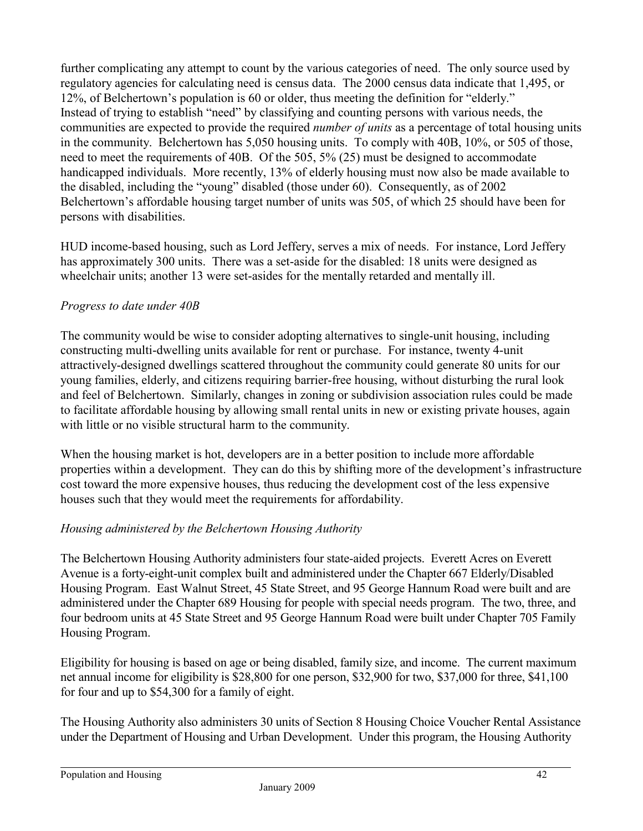further complicating any attempt to count by the various categories of need. The only source used by regulatory agencies for calculating need is census data. The 2000 census data indicate that 1,495, or 12%, of Belchertown's population is 60 or older, thus meeting the definition for "elderly." Instead of trying to establish "need" by classifying and counting persons with various needs, the communities are expected to provide the required *number of units* as a percentage of total housing units in the community. Belchertown has 5,050 housing units. To comply with 40B, 10%, or 505 of those, need to meet the requirements of 40B. Of the 505, 5% (25) must be designed to accommodate handicapped individuals. More recently, 13% of elderly housing must now also be made available to the disabled, including the "young" disabled (those under 60). Consequently, as of 2002 Belchertown's affordable housing target number of units was 505, of which 25 should have been for persons with disabilities.

HUD income-based housing, such as Lord Jeffery, serves a mix of needs. For instance, Lord Jeffery has approximately 300 units. There was a set-aside for the disabled: 18 units were designed as wheelchair units; another 13 were set-asides for the mentally retarded and mentally ill.

## *Progress to date under 40B*

The community would be wise to consider adopting alternatives to single-unit housing, including constructing multi-dwelling units available for rent or purchase. For instance, twenty 4-unit attractively-designed dwellings scattered throughout the community could generate 80 units for our young families, elderly, and citizens requiring barrier-free housing, without disturbing the rural look and feel of Belchertown. Similarly, changes in zoning or subdivision association rules could be made to facilitate affordable housing by allowing small rental units in new or existing private houses, again with little or no visible structural harm to the community.

When the housing market is hot, developers are in a better position to include more affordable properties within a development. They can do this by shifting more of the development's infrastructure cost toward the more expensive houses, thus reducing the development cost of the less expensive houses such that they would meet the requirements for affordability.

## *Housing administered by the Belchertown Housing Authority*

The Belchertown Housing Authority administers four state-aided projects. Everett Acres on Everett Avenue is a forty-eight-unit complex built and administered under the Chapter 667 Elderly/Disabled Housing Program. East Walnut Street, 45 State Street, and 95 George Hannum Road were built and are administered under the Chapter 689 Housing for people with special needs program. The two, three, and four bedroom units at 45 State Street and 95 George Hannum Road were built under Chapter 705 Family Housing Program.

Eligibility for housing is based on age or being disabled, family size, and income. The current maximum net annual income for eligibility is \$28,800 for one person, \$32,900 for two, \$37,000 for three, \$41,100 for four and up to \$54,300 for a family of eight.

The Housing Authority also administers 30 units of Section 8 Housing Choice Voucher Rental Assistance under the Department of Housing and Urban Development. Under this program, the Housing Authority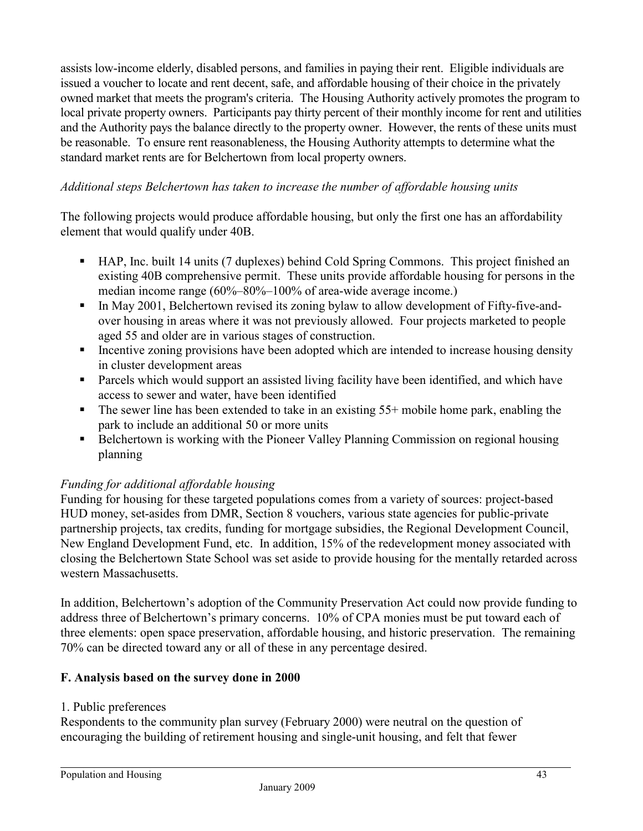assists low-income elderly, disabled persons, and families in paying their rent. Eligible individuals are issued a voucher to locate and rent decent, safe, and affordable housing of their choice in the privately owned market that meets the program's criteria. The Housing Authority actively promotes the program to local private property owners. Participants pay thirty percent of their monthly income for rent and utilities and the Authority pays the balance directly to the property owner. However, the rents of these units must be reasonable. To ensure rent reasonableness, the Housing Authority attempts to determine what the standard market rents are for Belchertown from local property owners.

## *Additional steps Belchertown has taken to increase the number of affordable housing units*

The following projects would produce affordable housing, but only the first one has an affordability element that would qualify under 40B.

- HAP, Inc. built 14 units (7 duplexes) behind Cold Spring Commons. This project finished an existing 40B comprehensive permit. These units provide affordable housing for persons in the median income range (60%–80%–100% of area-wide average income.)
- In May 2001, Belchertown revised its zoning bylaw to allow development of Fifty-five-andover housing in areas where it was not previously allowed. Four projects marketed to people aged 55 and older are in various stages of construction.
- Incentive zoning provisions have been adopted which are intended to increase housing density in cluster development areas
- **Parcels which would support an assisted living facility have been identified, and which have** access to sewer and water, have been identified
- $\blacksquare$  The sewer line has been extended to take in an existing 55+ mobile home park, enabling the park to include an additional 50 or more units
- Belchertown is working with the Pioneer Valley Planning Commission on regional housing planning

## *Funding for additional affordable housing*

Funding for housing for these targeted populations comes from a variety of sources: project-based HUD money, set-asides from DMR, Section 8 vouchers, various state agencies for public-private partnership projects, tax credits, funding for mortgage subsidies, the Regional Development Council, New England Development Fund, etc. In addition, 15% of the redevelopment money associated with closing the Belchertown State School was set aside to provide housing for the mentally retarded across western Massachusetts.

In addition, Belchertown's adoption of the Community Preservation Act could now provide funding to address three of Belchertown's primary concerns. 10% of CPA monies must be put toward each of three elements: open space preservation, affordable housing, and historic preservation. The remaining 70% can be directed toward any or all of these in any percentage desired.

## **F. Analysis based on the survey done in 2000**

## 1. Public preferences

Respondents to the community plan survey (February 2000) were neutral on the question of encouraging the building of retirement housing and single-unit housing, and felt that fewer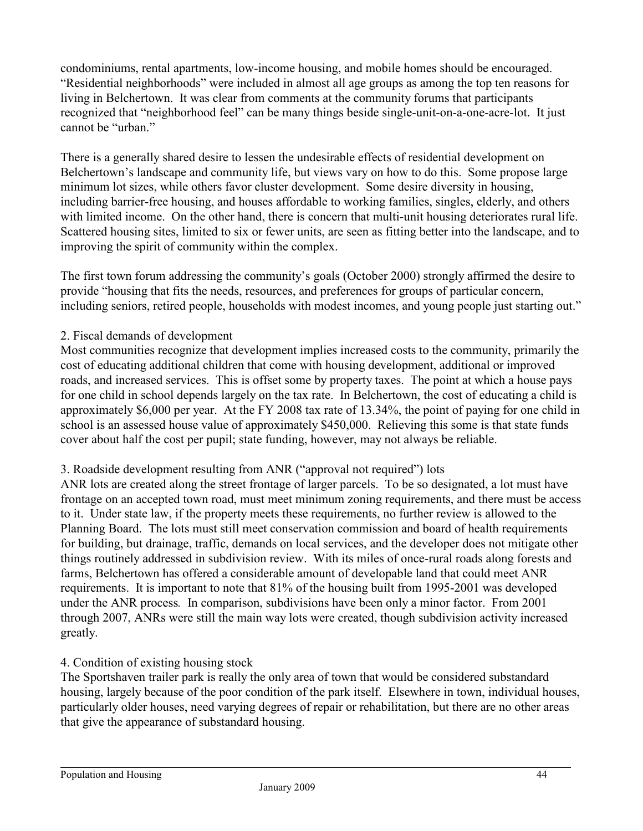condominiums, rental apartments, low-income housing, and mobile homes should be encouraged. "Residential neighborhoods" were included in almost all age groups as among the top ten reasons for living in Belchertown. It was clear from comments at the community forums that participants recognized that "neighborhood feel" can be many things beside single-unit-on-a-one-acre-lot. It just cannot be "urban."

There is a generally shared desire to lessen the undesirable effects of residential development on Belchertown's landscape and community life, but views vary on how to do this. Some propose large minimum lot sizes, while others favor cluster development. Some desire diversity in housing, including barrier-free housing, and houses affordable to working families, singles, elderly, and others with limited income. On the other hand, there is concern that multi-unit housing deteriorates rural life. Scattered housing sites, limited to six or fewer units, are seen as fitting better into the landscape, and to improving the spirit of community within the complex.

The first town forum addressing the community's goals (October 2000) strongly affirmed the desire to provide "housing that fits the needs, resources, and preferences for groups of particular concern, including seniors, retired people, households with modest incomes, and young people just starting out."

### 2. Fiscal demands of development

Most communities recognize that development implies increased costs to the community, primarily the cost of educating additional children that come with housing development, additional or improved roads, and increased services. This is offset some by property taxes. The point at which a house pays for one child in school depends largely on the tax rate. In Belchertown, the cost of educating a child is approximately \$6,000 per year. At the FY 2008 tax rate of 13.34%, the point of paying for one child in school is an assessed house value of approximately \$450,000. Relieving this some is that state funds cover about half the cost per pupil; state funding, however, may not always be reliable.

## 3. Roadside development resulting from ANR ("approval not required") lots

ANR lots are created along the street frontage of larger parcels. To be so designated, a lot must have frontage on an accepted town road, must meet minimum zoning requirements, and there must be access to it. Under state law, if the property meets these requirements, no further review is allowed to the Planning Board. The lots must still meet conservation commission and board of health requirements for building, but drainage, traffic, demands on local services, and the developer does not mitigate other things routinely addressed in subdivision review. With its miles of once-rural roads along forests and farms, Belchertown has offered a considerable amount of developable land that could meet ANR requirements. It is important to note that 81% of the housing built from 1995-2001 was developed under the ANR process*.* In comparison, subdivisions have been only a minor factor. From 2001 through 2007, ANRs were still the main way lots were created, though subdivision activity increased greatly.

### 4. Condition of existing housing stock

The Sportshaven trailer park is really the only area of town that would be considered substandard housing, largely because of the poor condition of the park itself. Elsewhere in town, individual houses, particularly older houses, need varying degrees of repair or rehabilitation, but there are no other areas that give the appearance of substandard housing.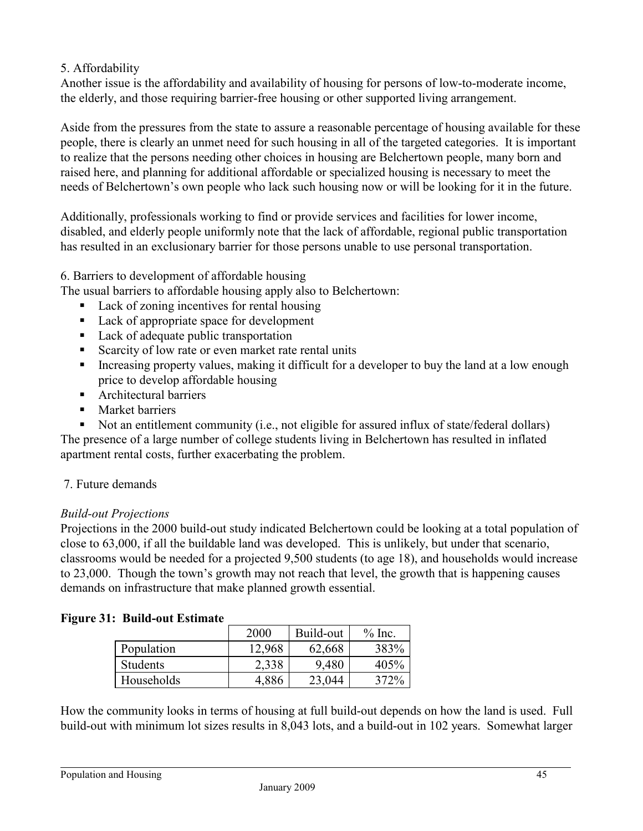### 5. Affordability

Another issue is the affordability and availability of housing for persons of low-to-moderate income, the elderly, and those requiring barrier-free housing or other supported living arrangement.

Aside from the pressures from the state to assure a reasonable percentage of housing available for these people, there is clearly an unmet need for such housing in all of the targeted categories. It is important to realize that the persons needing other choices in housing are Belchertown people, many born and raised here, and planning for additional affordable or specialized housing is necessary to meet the needs of Belchertown's own people who lack such housing now or will be looking for it in the future.

Additionally, professionals working to find or provide services and facilities for lower income, disabled, and elderly people uniformly note that the lack of affordable, regional public transportation has resulted in an exclusionary barrier for those persons unable to use personal transportation.

6. Barriers to development of affordable housing

The usual barriers to affordable housing apply also to Belchertown:

- Lack of zoning incentives for rental housing
- Lack of appropriate space for development
- **Lack of adequate public transportation**
- Scarcity of low rate or even market rate rental units
- Increasing property values, making it difficult for a developer to buy the land at a low enough price to develop affordable housing
- **Architectural barriers**
- Market barriers
- Not an entitlement community (i.e., not eligible for assured influx of state/federal dollars)

The presence of a large number of college students living in Belchertown has resulted in inflated apartment rental costs, further exacerbating the problem.

### 7. Future demands

### *Build-out Projections*

Projections in the 2000 build-out study indicated Belchertown could be looking at a total population of close to 63,000, if all the buildable land was developed. This is unlikely, but under that scenario, classrooms would be needed for a projected 9,500 students (to age 18), and households would increase to 23,000. Though the town's growth may not reach that level, the growth that is happening causes demands on infrastructure that make planned growth essential.

### **Figure 31: Build-out Estimate**

|            | 2000   | Build-out | $%$ Inc. |
|------------|--------|-----------|----------|
| Population | 12,968 | 62,668    | 383%     |
| Students   | 2,338  | 9,480     | 405%     |
| Households | 4,886  | 23,044    | 372%     |

How the community looks in terms of housing at full build-out depends on how the land is used. Full build-out with minimum lot sizes results in 8,043 lots, and a build-out in 102 years. Somewhat larger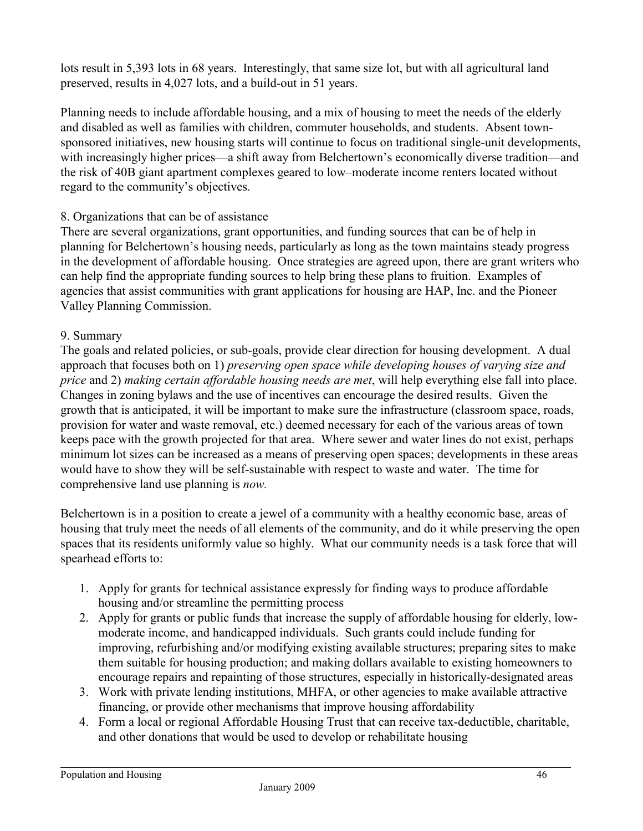lots result in 5,393 lots in 68 years. Interestingly, that same size lot, but with all agricultural land preserved, results in 4,027 lots, and a build-out in 51 years.

Planning needs to include affordable housing, and a mix of housing to meet the needs of the elderly and disabled as well as families with children, commuter households, and students. Absent townsponsored initiatives, new housing starts will continue to focus on traditional single-unit developments, with increasingly higher prices—a shift away from Belchertown's economically diverse tradition—and the risk of 40B giant apartment complexes geared to low–moderate income renters located without regard to the community's objectives.

### 8. Organizations that can be of assistance

There are several organizations, grant opportunities, and funding sources that can be of help in planning for Belchertown's housing needs, particularly as long as the town maintains steady progress in the development of affordable housing. Once strategies are agreed upon, there are grant writers who can help find the appropriate funding sources to help bring these plans to fruition. Examples of agencies that assist communities with grant applications for housing are HAP, Inc. and the Pioneer Valley Planning Commission.

### 9. Summary

The goals and related policies, or sub-goals, provide clear direction for housing development. A dual approach that focuses both on 1) *preserving open space while developing houses of varying size and price* and 2) *making certain affordable housing needs are met*, will help everything else fall into place. Changes in zoning bylaws and the use of incentives can encourage the desired results. Given the growth that is anticipated, it will be important to make sure the infrastructure (classroom space, roads, provision for water and waste removal, etc.) deemed necessary for each of the various areas of town keeps pace with the growth projected for that area. Where sewer and water lines do not exist, perhaps minimum lot sizes can be increased as a means of preserving open spaces; developments in these areas would have to show they will be self-sustainable with respect to waste and water. The time for comprehensive land use planning is *now.*

Belchertown is in a position to create a jewel of a community with a healthy economic base, areas of housing that truly meet the needs of all elements of the community, and do it while preserving the open spaces that its residents uniformly value so highly. What our community needs is a task force that will spearhead efforts to:

- 1. Apply for grants for technical assistance expressly for finding ways to produce affordable housing and/or streamline the permitting process
- 2. Apply for grants or public funds that increase the supply of affordable housing for elderly, lowmoderate income, and handicapped individuals. Such grants could include funding for improving, refurbishing and/or modifying existing available structures; preparing sites to make them suitable for housing production; and making dollars available to existing homeowners to encourage repairs and repainting of those structures, especially in historically-designated areas
- 3. Work with private lending institutions, MHFA, or other agencies to make available attractive financing, or provide other mechanisms that improve housing affordability
- 4. Form a local or regional Affordable Housing Trust that can receive tax-deductible, charitable, and other donations that would be used to develop or rehabilitate housing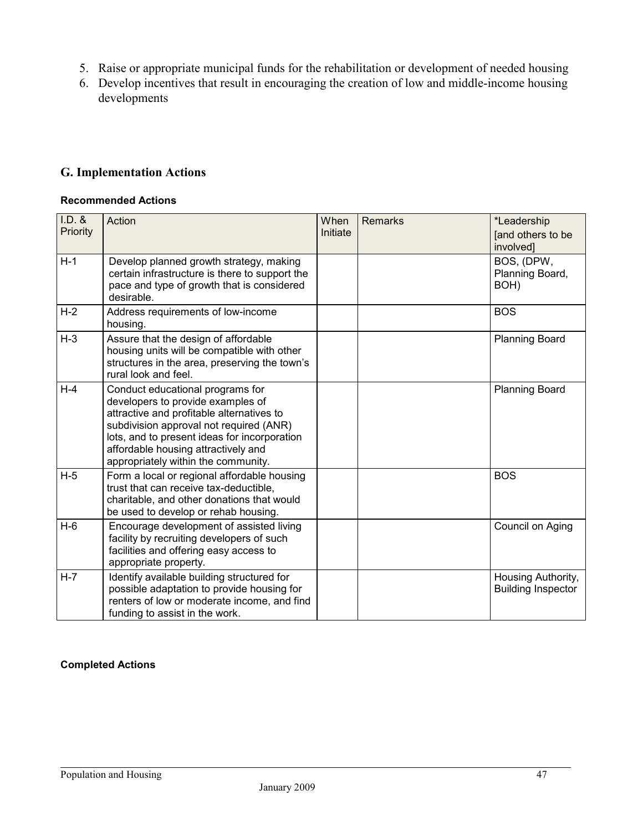- 5. Raise or appropriate municipal funds for the rehabilitation or development of needed housing
- 6. Develop incentives that result in encouraging the creation of low and middle-income housing developments

## **G. Implementation Actions**

#### **Recommended Actions**

| $I.D.$ &<br>Priority | Action                                                                                                                                                                                                                                                                                      | When<br>Initiate | Remarks | *Leadership<br>[and others to be<br>involved]   |
|----------------------|---------------------------------------------------------------------------------------------------------------------------------------------------------------------------------------------------------------------------------------------------------------------------------------------|------------------|---------|-------------------------------------------------|
| $H-1$                | Develop planned growth strategy, making<br>certain infrastructure is there to support the<br>pace and type of growth that is considered<br>desirable.                                                                                                                                       |                  |         | BOS, (DPW,<br>Planning Board,<br>BOH)           |
| $H-2$                | Address requirements of low-income<br>housing.                                                                                                                                                                                                                                              |                  |         | <b>BOS</b>                                      |
| $H-3$                | Assure that the design of affordable<br>housing units will be compatible with other<br>structures in the area, preserving the town's<br>rural look and feel.                                                                                                                                |                  |         | <b>Planning Board</b>                           |
| $H-4$                | Conduct educational programs for<br>developers to provide examples of<br>attractive and profitable alternatives to<br>subdivision approval not required (ANR)<br>lots, and to present ideas for incorporation<br>affordable housing attractively and<br>appropriately within the community. |                  |         | <b>Planning Board</b>                           |
| $H-5$                | Form a local or regional affordable housing<br>trust that can receive tax-deductible,<br>charitable, and other donations that would<br>be used to develop or rehab housing.                                                                                                                 |                  |         | <b>BOS</b>                                      |
| $H-6$                | Encourage development of assisted living<br>facility by recruiting developers of such<br>facilities and offering easy access to<br>appropriate property.                                                                                                                                    |                  |         | Council on Aging                                |
| $H - 7$              | Identify available building structured for<br>possible adaptation to provide housing for<br>renters of low or moderate income, and find<br>funding to assist in the work.                                                                                                                   |                  |         | Housing Authority,<br><b>Building Inspector</b> |

#### **Completed Actions**